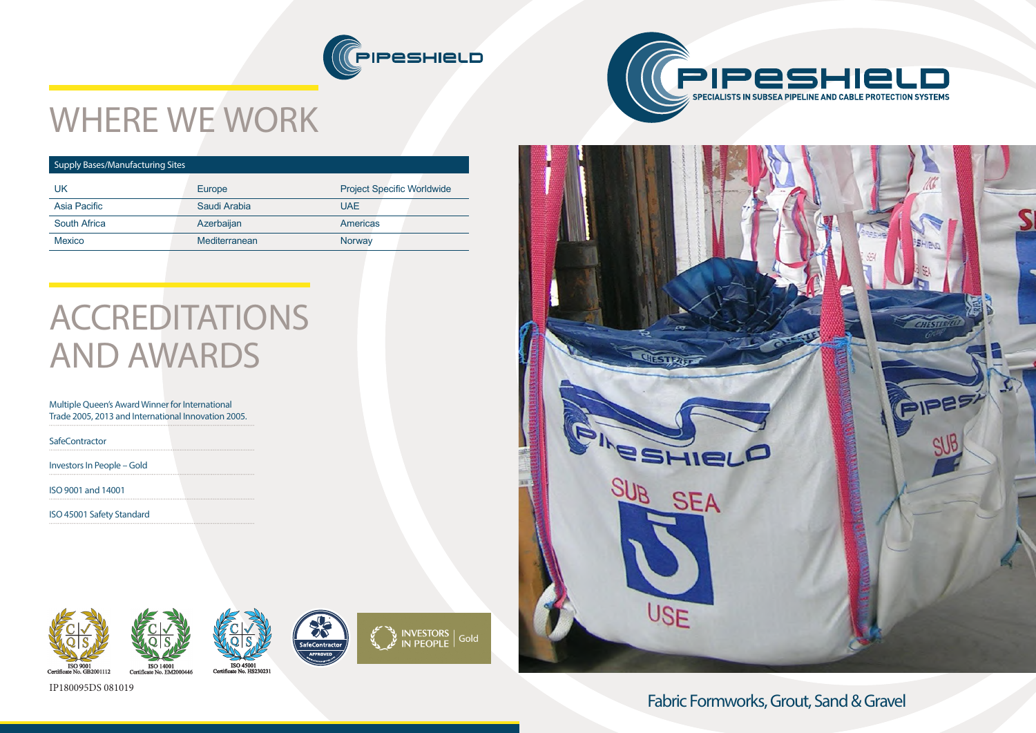









# WHERE WE WORK

### Supply Bases/Manufacturing Sites

## **ACCREDITATIONS** AND AWARDS

| UK                  | Europe        | <b>Project Specific Worldwide</b> |
|---------------------|---------------|-----------------------------------|
| Asia Pacific        | Saudi Arabia  | <b>UAE</b>                        |
| <b>South Africa</b> | Azerbaijan    | <b>Americas</b>                   |
| <b>Mexico</b>       | Mediterranean | Norway                            |
|                     |               |                                   |

### Multiple Queen's Award Winner for International Trade 2005, 2013 and International Innovation 2005.

**SafeContractor** 

Investors In People – Gold

ISO 9001 and 14001

ISO 45001 Safety Standard





IP180095DS 081019



Fabric Formworks, Grout, Sand & Gravel